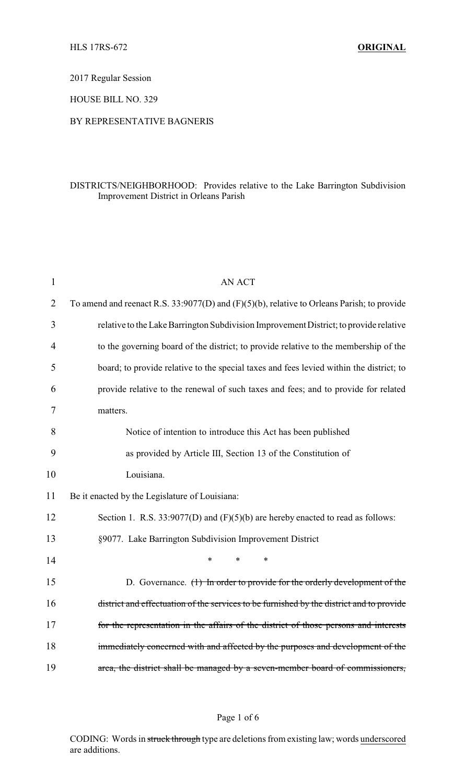2017 Regular Session

HOUSE BILL NO. 329

## BY REPRESENTATIVE BAGNERIS

## DISTRICTS/NEIGHBORHOOD: Provides relative to the Lake Barrington Subdivision Improvement District in Orleans Parish

| $\mathbf{1}$ | <b>AN ACT</b>                                                                                   |  |  |
|--------------|-------------------------------------------------------------------------------------------------|--|--|
| 2            | To amend and reenact R.S. $33:9077(D)$ and $(F)(5)(b)$ , relative to Orleans Parish; to provide |  |  |
| 3            | relative to the Lake Barrington Subdivision Improvement District; to provide relative           |  |  |
| 4            | to the governing board of the district; to provide relative to the membership of the            |  |  |
| 5            | board; to provide relative to the special taxes and fees levied within the district; to         |  |  |
| 6            | provide relative to the renewal of such taxes and fees; and to provide for related              |  |  |
| 7            | matters.                                                                                        |  |  |
| 8            | Notice of intention to introduce this Act has been published                                    |  |  |
| 9            | as provided by Article III, Section 13 of the Constitution of                                   |  |  |
| 10           | Louisiana.                                                                                      |  |  |
| 11           | Be it enacted by the Legislature of Louisiana:                                                  |  |  |
| 12           | Section 1. R.S. 33:9077(D) and (F)(5)(b) are hereby enacted to read as follows:                 |  |  |
| 13           | §9077. Lake Barrington Subdivision Improvement District                                         |  |  |
| 14           | $\ast$<br>*<br>*                                                                                |  |  |
| 15           | D. Governance. $(1)$ In order to provide for the orderly development of the                     |  |  |
| 16           | district and effectuation of the services to be furnished by the district and to provide        |  |  |
| 17           | for the representation in the affairs of the district of those persons and interests            |  |  |
| 18           | immediately concerned with and affected by the purposes and development of the                  |  |  |
| 19           | area, the district shall be managed by a seven-member board of commissioners,                   |  |  |

## Page 1 of 6

CODING: Words in struck through type are deletions from existing law; words underscored are additions.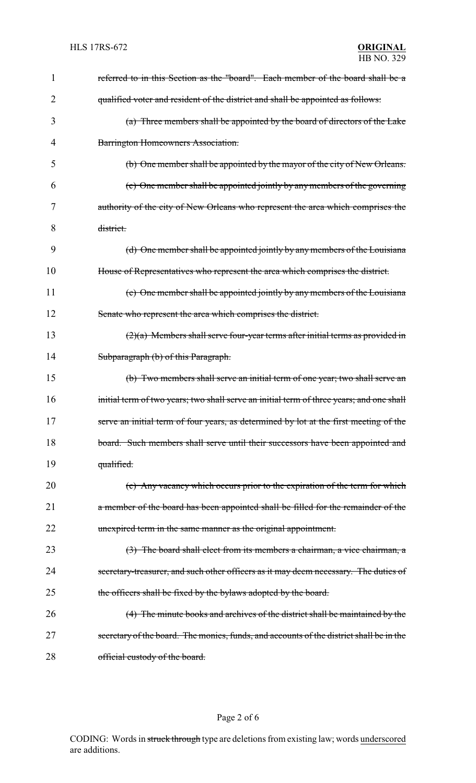| 1              | referred to in this Section as the "board". Each member of the board shall be a          |
|----------------|------------------------------------------------------------------------------------------|
| $\overline{2}$ | qualified voter and resident of the district and shall be appointed as follows:          |
| 3              | (a) Three members shall be appointed by the board of directors of the Lake               |
| 4              | Barrington Homeowners Association.                                                       |
| 5              | (b) One member shall be appointed by the mayor of the city of New Orleans.               |
| 6              | (c) One member shall be appointed jointly by any members of the governing                |
| 7              | authority of the city of New Orleans who represent the area which comprises the          |
| 8              | district.                                                                                |
| 9              | (d) One member shall be appointed jointly by any members of the Louisiana                |
| 10             | House of Representatives who represent the area which comprises the district.            |
| 11             | (e) One member shall be appointed jointly by any members of the Louisiana                |
| 12             | Senate who represent the area which comprises the district.                              |
| 13             | $(2)(a)$ Members shall serve four-year terms after initial terms as provided in          |
| 14             | Subparagraph (b) of this Paragraph.                                                      |
| 15             | (b) Two members shall serve an initial term of one year; two shall serve an              |
| 16             | initial term of two years; two shall serve an initial term of three years; and one shall |
| 17             | serve an initial term of four years, as determined by lot at the first meeting of the    |
| 18             | board. Such members shall serve until their successors have been appointed and           |
| 19             | qualified.                                                                               |
| 20             | (c) Any vacancy which occurs prior to the expiration of the term for which               |
| 21             | a member of the board has been appointed shall be filled for the remainder of the        |
| 22             | unexpired term in the same manner as the original appointment.                           |
| 23             | $(3)$ The board shall elect from its members a chairman, a vice chairman, a              |
| 24             | secretary-treasurer, and such other officers as it may deem necessary. The duties of     |
| 25             | the officers shall be fixed by the bylaws adopted by the board.                          |
| 26             | (4) The minute books and archives of the district shall be maintained by the             |
| 27             | secretary of the board. The monies, funds, and accounts of the district shall be in the  |
| 28             | official custody of the board.                                                           |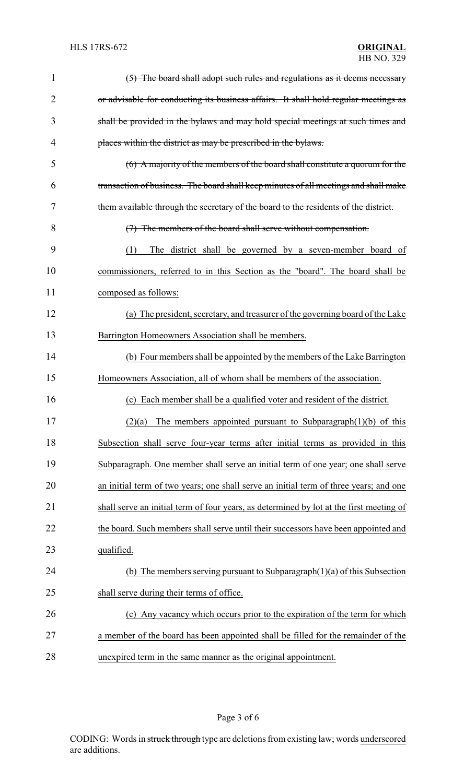| 1  | (5) The board shall adopt such rules and regulations as it deems necessary              |
|----|-----------------------------------------------------------------------------------------|
| 2  | or advisable for conducting its business affairs. It shall hold regular meetings as     |
| 3  | shall be provided in the bylaws and may hold special meetings at such times and         |
| 4  | places within the district as may be prescribed in the bylaws.                          |
| 5  | (6) A majority of the members of the board shall constitute a quorum for the            |
| 6  | transaction of business. The board shall keep minutes of all meetings and shall make    |
| 7  | them available through the secretary of the board to the residents of the district.     |
| 8  | (7) The members of the board shall serve without compensation.                          |
| 9  | (1)<br>The district shall be governed by a seven-member board of                        |
| 10 | commissioners, referred to in this Section as the "board". The board shall be           |
| 11 | composed as follows:                                                                    |
| 12 | (a) The president, secretary, and treasurer of the governing board of the Lake          |
| 13 | Barrington Homeowners Association shall be members.                                     |
| 14 | (b) Four members shall be appointed by the members of the Lake Barrington               |
| 15 | Homeowners Association, all of whom shall be members of the association.                |
| 16 | (c) Each member shall be a qualified voter and resident of the district.                |
| 17 | $(2)(a)$ The members appointed pursuant to Subparagraph $(1)(b)$ of this                |
| 18 | Subsection shall serve four-year terms after initial terms as provided in this          |
| 19 | Subparagraph. One member shall serve an initial term of one year; one shall serve       |
| 20 | an initial term of two years; one shall serve an initial term of three years; and one   |
| 21 | shall serve an initial term of four years, as determined by lot at the first meeting of |
| 22 | the board. Such members shall serve until their successors have been appointed and      |
| 23 | qualified.                                                                              |
| 24 | (b) The members serving pursuant to Subparagraph $(1)(a)$ of this Subsection            |
| 25 | shall serve during their terms of office.                                               |
|    |                                                                                         |
| 26 | (c) Any vacancy which occurs prior to the expiration of the term for which              |
| 27 | a member of the board has been appointed shall be filled for the remainder of the       |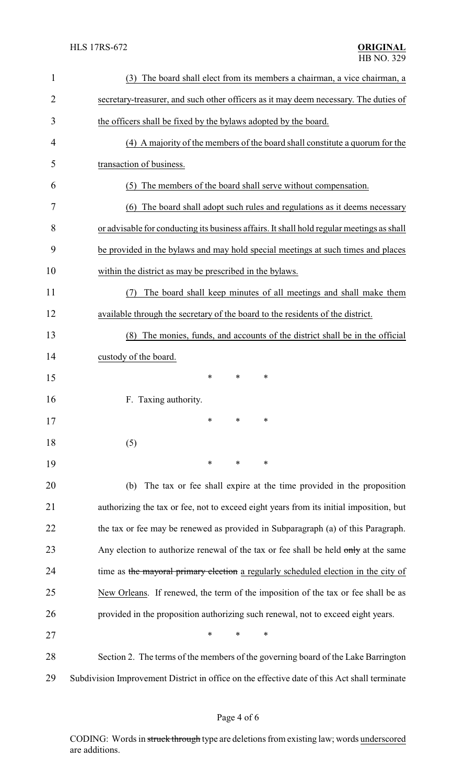| 1              | (3) The board shall elect from its members a chairman, a vice chairman, a                    |  |  |  |
|----------------|----------------------------------------------------------------------------------------------|--|--|--|
| $\overline{2}$ | secretary-treasurer, and such other officers as it may deem necessary. The duties of         |  |  |  |
| 3              | the officers shall be fixed by the bylaws adopted by the board.                              |  |  |  |
| 4              | (4) A majority of the members of the board shall constitute a quorum for the                 |  |  |  |
| 5              | transaction of business.                                                                     |  |  |  |
| 6              | The members of the board shall serve without compensation.<br>(5)                            |  |  |  |
| 7              | (6) The board shall adopt such rules and regulations as it deems necessary                   |  |  |  |
| 8              | or advisable for conducting its business affairs. It shall hold regular meetings as shall    |  |  |  |
| 9              | be provided in the bylaws and may hold special meetings at such times and places             |  |  |  |
| 10             | within the district as may be prescribed in the bylaws.                                      |  |  |  |
| 11             | The board shall keep minutes of all meetings and shall make them<br>(7)                      |  |  |  |
| 12             | available through the secretary of the board to the residents of the district.               |  |  |  |
| 13             | (8) The monies, funds, and accounts of the district shall be in the official                 |  |  |  |
| 14             | custody of the board.                                                                        |  |  |  |
| 15             | $\ast$<br>*<br>∗                                                                             |  |  |  |
| 16             | F. Taxing authority.                                                                         |  |  |  |
| 17             | $\ast$<br>$\sim$                                                                             |  |  |  |
| 18             | (5)                                                                                          |  |  |  |
| 19             | ∗<br>∗<br>∗                                                                                  |  |  |  |
| 20             | The tax or fee shall expire at the time provided in the proposition<br>(b)                   |  |  |  |
| 21             | authorizing the tax or fee, not to exceed eight years from its initial imposition, but       |  |  |  |
| 22             | the tax or fee may be renewed as provided in Subparagraph (a) of this Paragraph.             |  |  |  |
| 23             | Any election to authorize renewal of the tax or fee shall be held only at the same           |  |  |  |
| 24             | time as the mayoral primary election a regularly scheduled election in the city of           |  |  |  |
| 25             | New Orleans. If renewed, the term of the imposition of the tax or fee shall be as            |  |  |  |
| 26             | provided in the proposition authorizing such renewal, not to exceed eight years.             |  |  |  |
| 27             | $\ast$<br>$\ast$<br>$\ast$                                                                   |  |  |  |
| 28             | Section 2. The terms of the members of the governing board of the Lake Barrington            |  |  |  |
| 29             | Subdivision Improvement District in office on the effective date of this Act shall terminate |  |  |  |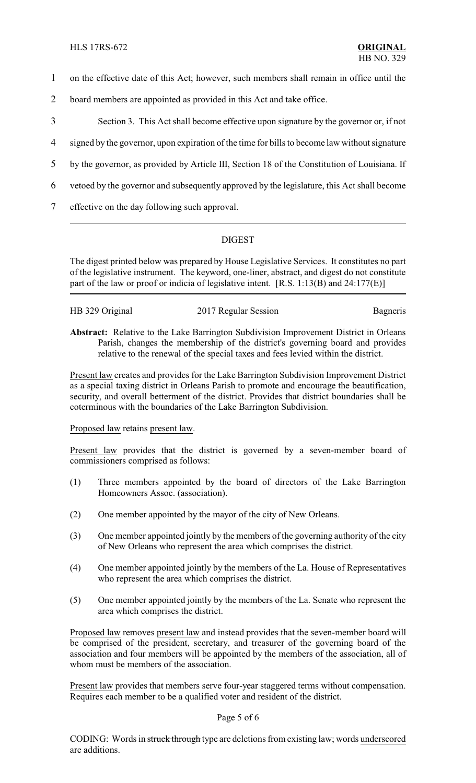- 1 on the effective date of this Act; however, such members shall remain in office until the
- 2 board members are appointed as provided in this Act and take office.
- 3 Section 3. This Act shall become effective upon signature by the governor or, if not
- 4 signed by the governor, upon expiration of the time for bills to become law without signature
- 5 by the governor, as provided by Article III, Section 18 of the Constitution of Louisiana. If
- 6 vetoed by the governor and subsequently approved by the legislature, this Act shall become
- 7 effective on the day following such approval.

# DIGEST

The digest printed below was prepared by House Legislative Services. It constitutes no part of the legislative instrument. The keyword, one-liner, abstract, and digest do not constitute part of the law or proof or indicia of legislative intent. [R.S. 1:13(B) and 24:177(E)]

| HB 329 Original | 2017 Regular Session | Bagneris |
|-----------------|----------------------|----------|
|                 |                      |          |

**Abstract:** Relative to the Lake Barrington Subdivision Improvement District in Orleans Parish, changes the membership of the district's governing board and provides relative to the renewal of the special taxes and fees levied within the district.

Present law creates and provides for the Lake Barrington Subdivision Improvement District as a special taxing district in Orleans Parish to promote and encourage the beautification, security, and overall betterment of the district. Provides that district boundaries shall be coterminous with the boundaries of the Lake Barrington Subdivision.

## Proposed law retains present law.

Present law provides that the district is governed by a seven-member board of commissioners comprised as follows:

- (1) Three members appointed by the board of directors of the Lake Barrington Homeowners Assoc. (association).
- (2) One member appointed by the mayor of the city of New Orleans.
- (3) One member appointed jointly by the members of the governing authority of the city of New Orleans who represent the area which comprises the district.
- (4) One member appointed jointly by the members of the La. House of Representatives who represent the area which comprises the district.
- (5) One member appointed jointly by the members of the La. Senate who represent the area which comprises the district.

Proposed law removes present law and instead provides that the seven-member board will be comprised of the president, secretary, and treasurer of the governing board of the association and four members will be appointed by the members of the association, all of whom must be members of the association.

Present law provides that members serve four-year staggered terms without compensation. Requires each member to be a qualified voter and resident of the district.

#### Page 5 of 6

CODING: Words in struck through type are deletions from existing law; words underscored are additions.